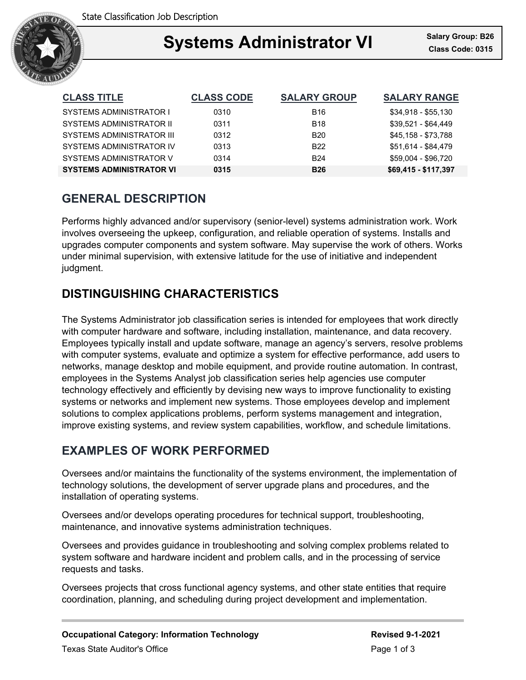

### Ξ **Systems Administrator VI Class Code: 0315**

| <b>CLASS TITLE</b>              | <b>CLASS CODE</b> | <b>SALARY GROUP</b> | <b>SALARY RANGE</b>  |
|---------------------------------|-------------------|---------------------|----------------------|
| SYSTEMS ADMINISTRATOR I         | 0310              | B <sub>16</sub>     | \$34.918 - \$55.130  |
| SYSTEMS ADMINISTRATOR II        | 0311              | <b>B18</b>          | $$39.521 - $64.449$  |
| SYSTEMS ADMINISTRATOR III       | 0312              | B20                 | \$45,158 - \$73,788  |
| SYSTEMS ADMINISTRATOR IV        | 0313              | <b>B22</b>          | \$51,614 - \$84,479  |
| SYSTEMS ADMINISTRATOR V         | 0314              | B <sub>24</sub>     | \$59.004 - \$96.720  |
| <b>SYSTEMS ADMINISTRATOR VI</b> | 0315              | <b>B26</b>          | \$69,415 - \$117,397 |

## **GENERAL DESCRIPTION**

Performs highly advanced and/or supervisory (senior-level) systems administration work. Work involves overseeing the upkeep, configuration, and reliable operation of systems. Installs and upgrades computer components and system software. May supervise the work of others. Works under minimal supervision, with extensive latitude for the use of initiative and independent judgment.

# **DISTINGUISHING CHARACTERISTICS**

The Systems Administrator job classification series is intended for employees that work directly with computer hardware and software, including installation, maintenance, and data recovery. Employees typically install and update software, manage an agency's servers, resolve problems with computer systems, evaluate and optimize a system for effective performance, add users to networks, manage desktop and mobile equipment, and provide routine automation. In contrast, employees in the Systems Analyst job classification series help agencies use computer technology effectively and efficiently by devising new ways to improve functionality to existing systems or networks and implement new systems. Those employees develop and implement solutions to complex applications problems, perform systems management and integration, improve existing systems, and review system capabilities, workflow, and schedule limitations.

# **EXAMPLES OF WORK PERFORMED**

Oversees and/or maintains the functionality of the systems environment, the implementation of technology solutions, the development of server upgrade plans and procedures, and the installation of operating systems.

Oversees and/or develops operating procedures for technical support, troubleshooting, maintenance, and innovative systems administration techniques.

Oversees and provides guidance in troubleshooting and solving complex problems related to system software and hardware incident and problem calls, and in the processing of service requests and tasks.

Oversees projects that cross functional agency systems, and other state entities that require coordination, planning, and scheduling during project development and implementation.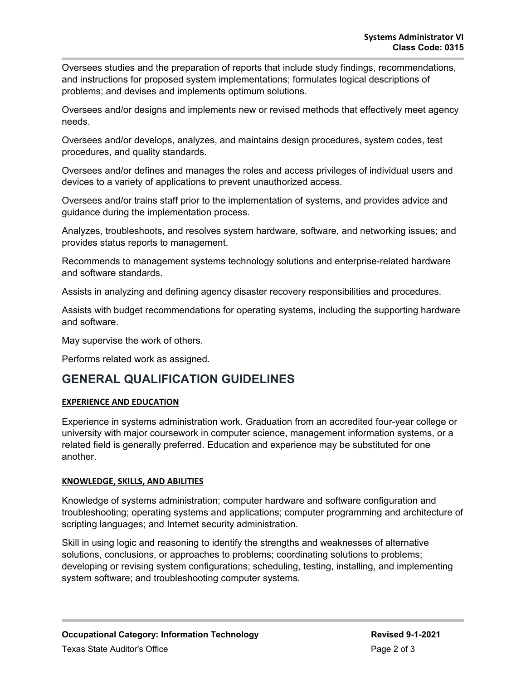Oversees studies and the preparation of reports that include study findings, recommendations, and instructions for proposed system implementations; formulates logical descriptions of problems; and devises and implements optimum solutions.

Oversees and/or designs and implements new or revised methods that effectively meet agency needs.

Oversees and/or develops, analyzes, and maintains design procedures, system codes, test procedures, and quality standards.

Oversees and/or defines and manages the roles and access privileges of individual users and devices to a variety of applications to prevent unauthorized access.

Oversees and/or trains staff prior to the implementation of systems, and provides advice and guidance during the implementation process.

Analyzes, troubleshoots, and resolves system hardware, software, and networking issues; and provides status reports to management.

Recommends to management systems technology solutions and enterprise-related hardware and software standards.

Assists in analyzing and defining agency disaster recovery responsibilities and procedures.

Assists with budget recommendations for operating systems, including the supporting hardware and software.

May supervise the work of others.

Performs related work as assigned.

## **GENERAL QUALIFICATION GUIDELINES**

### **EXPERIENCE AND EDUCATION**

Experience in systems administration work. Graduation from an accredited four-year college or university with major coursework in computer science, management information systems, or a related field is generally preferred. Education and experience may be substituted for one another.

#### **KNOWLEDGE, SKILLS, AND ABILITIES**

Knowledge of systems administration; computer hardware and software configuration and troubleshooting; operating systems and applications; computer programming and architecture of scripting languages; and Internet security administration.

Skill in using logic and reasoning to identify the strengths and weaknesses of alternative solutions, conclusions, or approaches to problems; coordinating solutions to problems; developing or revising system configurations; scheduling, testing, installing, and implementing system software; and troubleshooting computer systems.